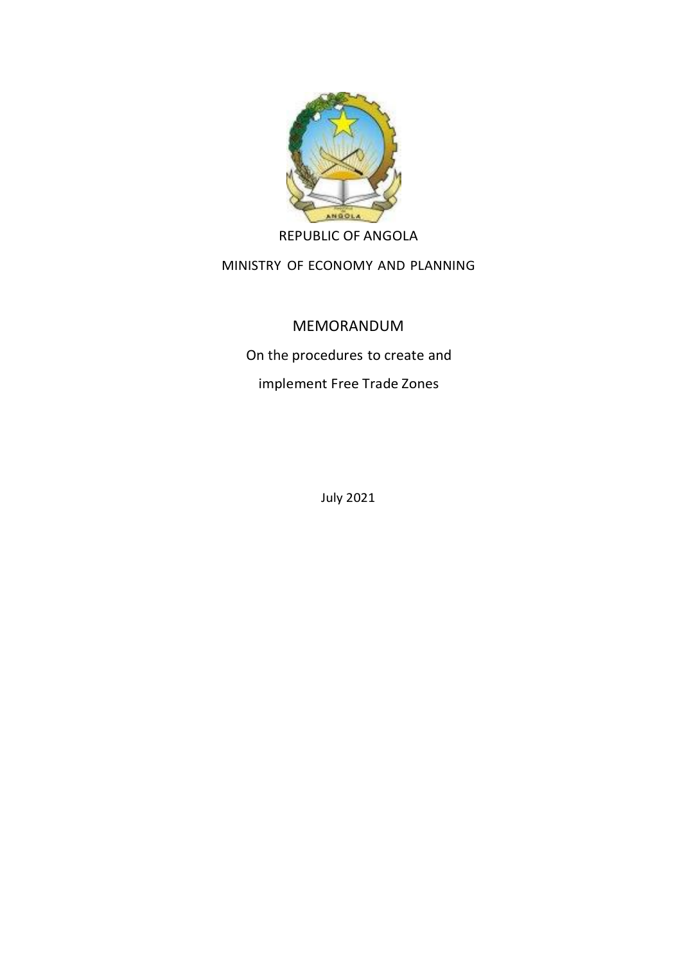

REPUBLIC OF ANGOLA

MINISTRY OF ECONOMY AND PLANNING

# MEMORANDUM

On the procedures to create and

implement Free Trade Zones

July 2021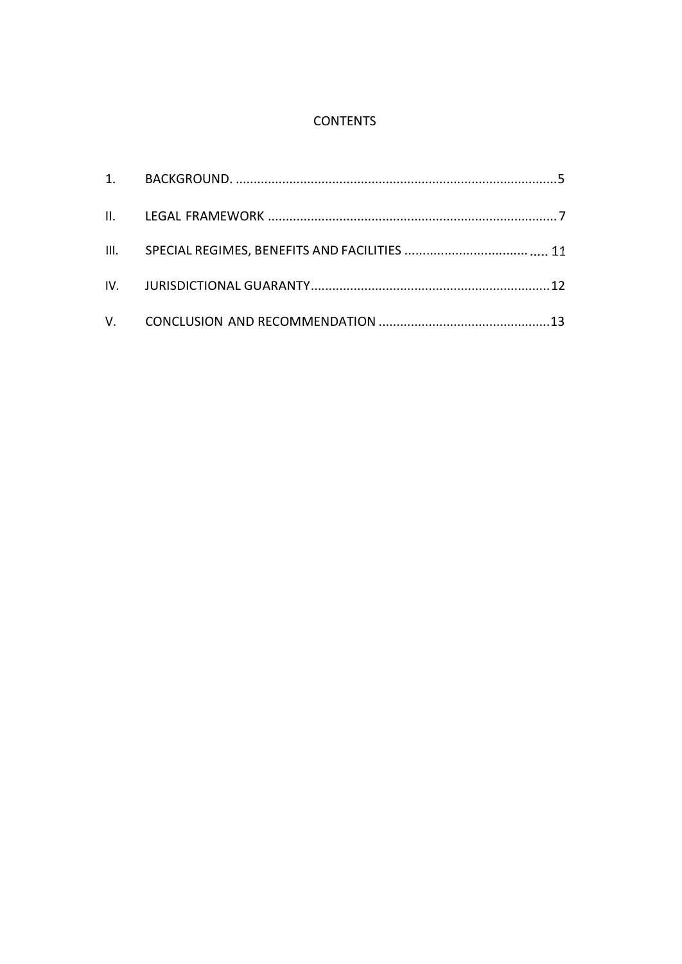# **CONTENTS**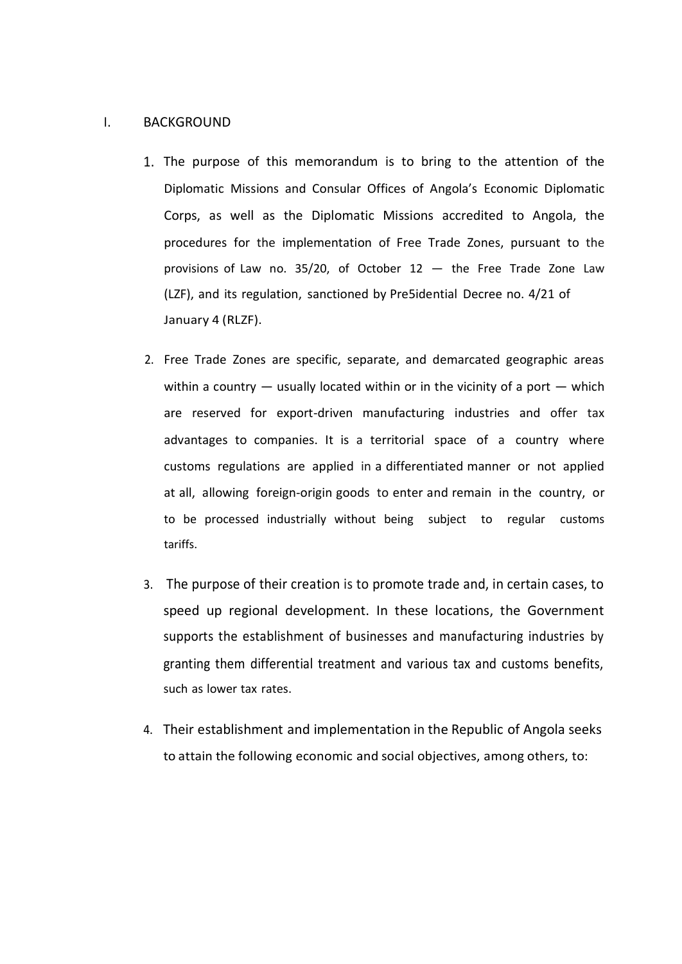#### I. BACKGROUND

- 1. The purpose of this memorandum is to bring to the attention of the Diplomatic Missions and Consular Offices of Angola's Economic Diplomatic Corps, as well as the Diplomatic Missions accredited to Angola, the procedures for the implementation of Free Trade Zones, pursuant to the provisions of Law no. 35/20, of October  $12 -$  the Free Trade Zone Law (LZF), and its regulation, sanctioned by Pre5idential Decree no. 4/21 of January 4 (RLZF).
- 2. Free Trade Zones are specific, separate, and demarcated geographic areas within a country  $-$  usually located within or in the vicinity of a port  $-$  which are reserved for export-driven manufacturing industries and offer tax advantages to companies. It is a territorial space of a country where customs regulations are applied in a differentiated manner or not applied at all, allowing foreign-origin goods to enter and remain in the country, or to be processed industrially without being subject to regular customs tariffs.
- 3. The purpose of their creation is to promote trade and, in certain cases, to speed up regional development. In these locations, the Government supports the establishment of businesses and manufacturing industries by granting them differential treatment and various tax and customs benefits, such as lower tax rates.
- 4. Their establishment and implementation in the Republic of Angola seeks to attain the following economic and social objectives, among others, to: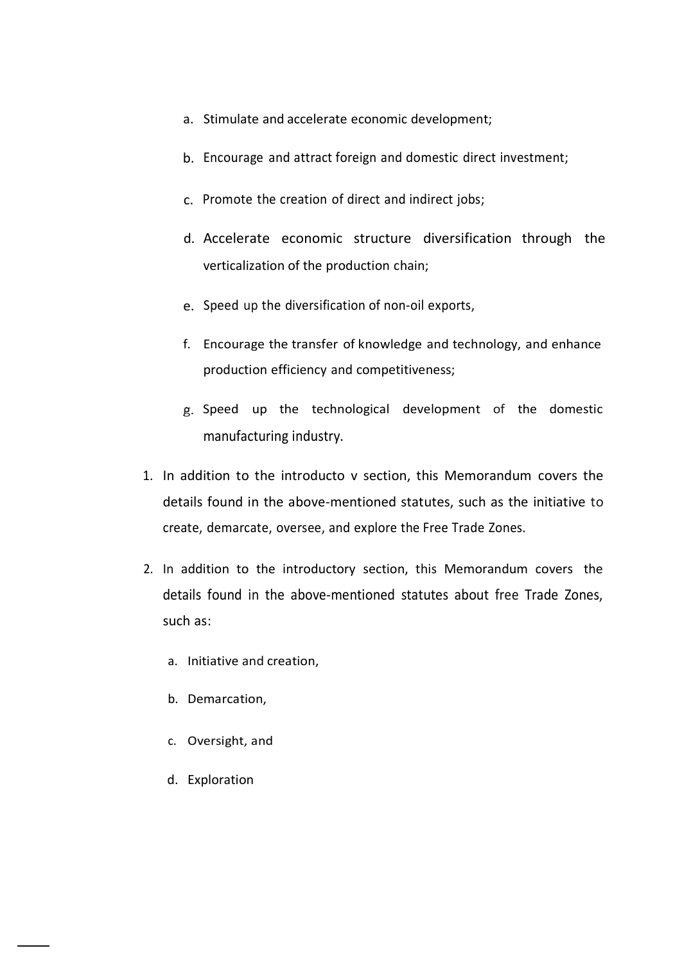- a. Stimulate and accelerate economic development;
- b. Encourage and attract foreign and domestic direct investment;
- c. Promote the creation of direct and indirect jobs;
- d. Accelerate economic structure diversification through the verticalization of the production chain;
- e. Speed up the diversification of non-oil exports,
- f. Encourage the transfer of knowledge and technology, and enhance production efficiency and competitiveness;
- g. Speed up the technological development of the domestic manufacturing industry.
- 1. In addition to the introducto v section, this Memorandum covers the details found in the above-mentioned statutes, such as the initiative to create, demarcate, oversee, and explore the Free Trade Zones.
- 2. In addition to the introductory section, this Memorandum covers the details found in the above-mentioned statutes about free Trade Zones, such as:
	- a. Initiative and creation,
	- b. Demarcation,
	- c. Oversight, and
	- d. Exploration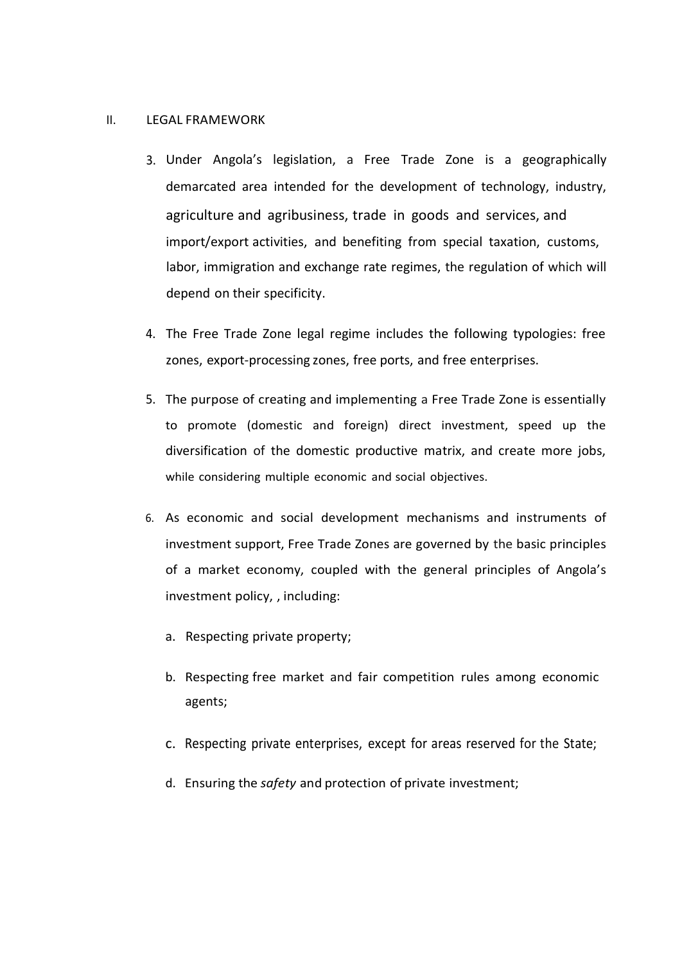#### II. LEGAL FRAMEWORK

- 3. Under Angola's legislation, a Free Trade Zone is a geographically demarcated area intended for the development of technology, industry, agriculture and agribusiness, trade in goods and services, and import/export activities, and benefiting from special taxation, customs, labor, immigration and exchange rate regimes, the regulation of which will depend on their specificity.
- 4. The Free Trade Zone legal regime includes the following typologies: free zones, export-processing zones, free ports, and free enterprises.
- 5. The purpose of creating and implementing a Free Trade Zone is essentially to promote (domestic and foreign) direct investment, speed up the diversification of the domestic productive matrix, and create more jobs, while considering multiple economic and social objectives.
- 6. As economic and social development mechanisms and instruments of investment support, Free Trade Zones are governed by the basic principles of a market economy, coupled with the general principles of Angola's investment policy, , including:
	- a. Respecting private property;
	- b. Respecting free market and fair competition rules among economic agents;
	- c. Respecting private enterprises, except for areas reserved for the State;
	- d. Ensuring the *safety* and protection of private investment;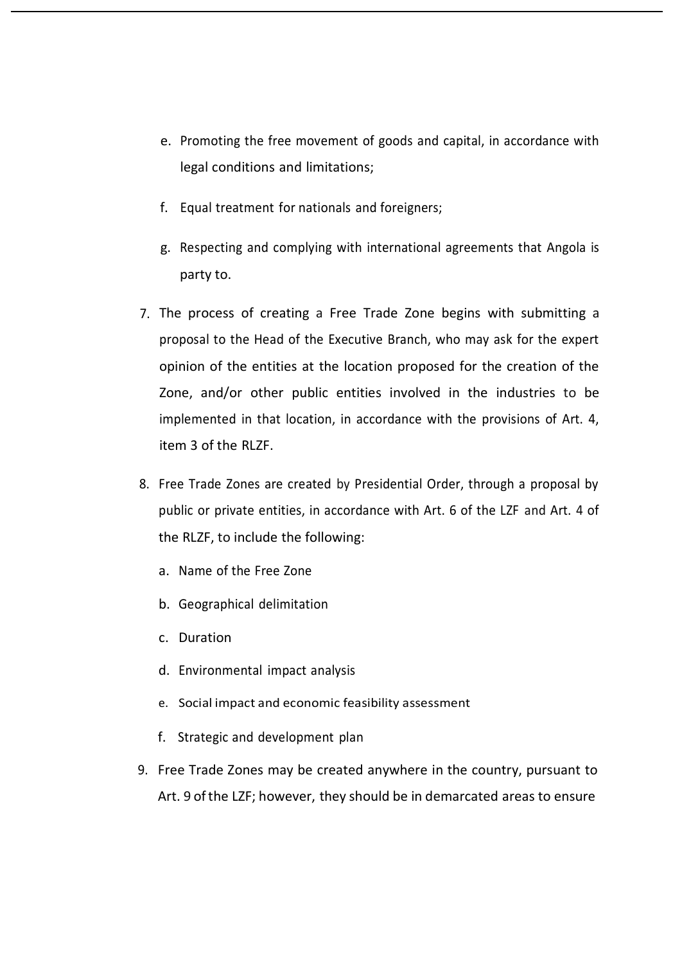- e. Promoting the free movement of goods and capital, in accordance with legal conditions and limitations;
- f. Equal treatment for nationals and foreigners;
- g. Respecting and complying with international agreements that Angola is party to.
- 7. The process of creating a Free Trade Zone begins with submitting a proposal to the Head of the Executive Branch, who may ask for the expert opinion of the entities at the location proposed for the creation of the Zone, and/or other public entities involved in the industries to be implemented in that location, in accordance with the provisions of Art. 4, item 3 of the RLZF.
- 8. Free Trade Zones are created by Presidential Order, through a proposal by public or private entities, in accordance with Art. 6 of the LZF and Art. 4 of the RLZF, to include the following:
	- a. Name of the Free Zone
	- b. Geographical delimitation
	- c. Duration
	- d. Environmental impact analysis
	- e. Social impact and economic feasibility assessment
	- f. Strategic and development plan
- 9. Free Trade Zones may be created anywhere in the country, pursuant to Art. 9 ofthe LZF; however, they should be in demarcated areas to ensure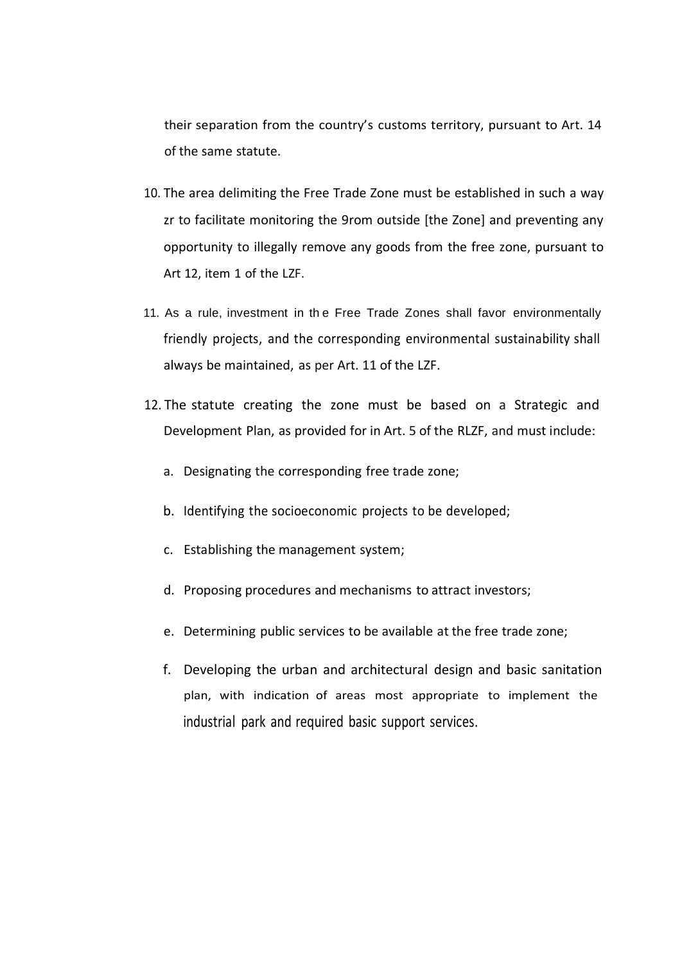their separation from the country's customs territory, pursuant to Art. 14 of the same statute.

- 10. The area delimiting the Free Trade Zone must be established in such a way zr to facilitate monitoring the 9rom outside [the Zone] and preventing any opportunity to illegally remove any goods from the free zone, pursuant to Art 12, item 1 of the LZF.
- 11. As a rule, investment in th e Free Trade Zones shall favor environmentally friendly projects, and the corresponding environmental sustainability shall always be maintained, as per Art. 11 of the LZF.
- 12. The statute creating the zone must be based on a Strategic and Development Plan, as provided for in Art. 5 of the RLZF, and must include:
	- a. Designating the corresponding free trade zone;
	- b. Identifying the socioeconomic projects to be developed;
	- c. Establishing the management system;
	- d. Proposing procedures and mechanisms to attract investors;
	- e. Determining public services to be available at the free trade zone;
	- f. Developing the urban and architectural design and basic sanitation plan, with indication of areas most appropriate to implement the industrial park and required basic support services.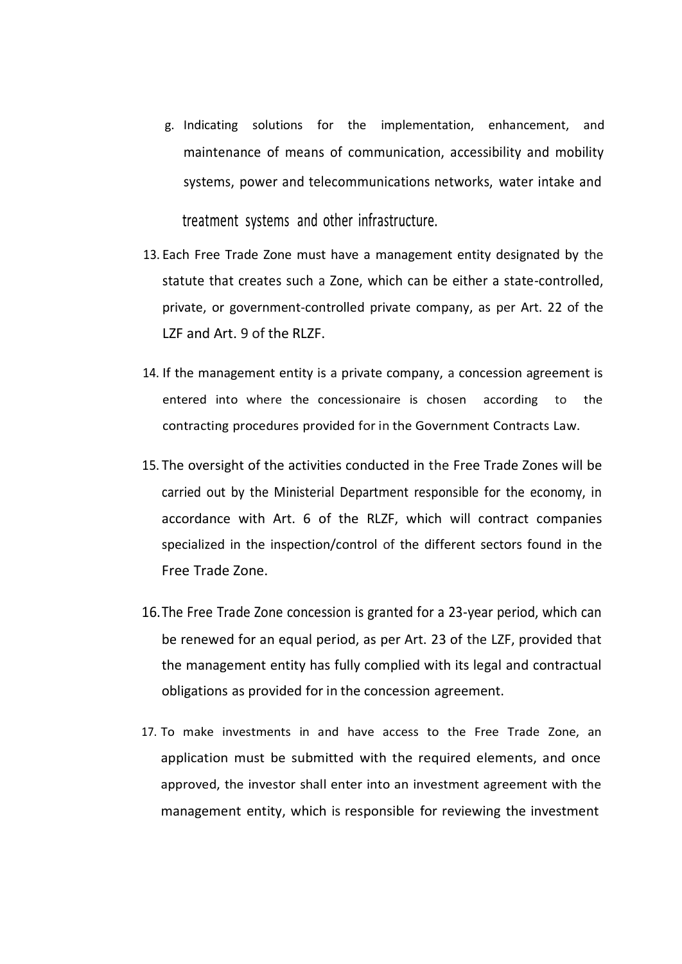- g. Indicating solutions for the implementation, enhancement, and maintenance of means of communication, accessibility and mobility systems, power and telecommunications networks, water intake and treatment systems and other infrastructure.
- 13. Each Free Trade Zone must have a management entity designated by the statute that creates such a Zone, which can be either a state-controlled, private, or government-controlled private company, as per Art. 22 of the LZF and Art. 9 of the RLZF.
- 14. If the management entity is a private company, a concession agreement is entered into where the concessionaire is chosen according to the contracting procedures provided for in the Government Contracts Law.
- 15. The oversight of the activities conducted in the Free Trade Zones will be carried out by the Ministerial Department responsible for the economy, in accordance with Art. 6 of the RLZF, which will contract companies specialized in the inspection/control of the different sectors found in the Free Trade Zone.
- 16.The Free Trade Zone concession is granted for a 23-year period, which can be renewed for an equal period, as per Art. 23 of the LZF, provided that the management entity has fully complied with its legal and contractual obligations as provided for in the concession agreement.
- 17. To make investments in and have access to the Free Trade Zone, an application must be submitted with the required elements, and once approved, the investor shall enter into an investment agreement with the management entity, which is responsible for reviewing the investment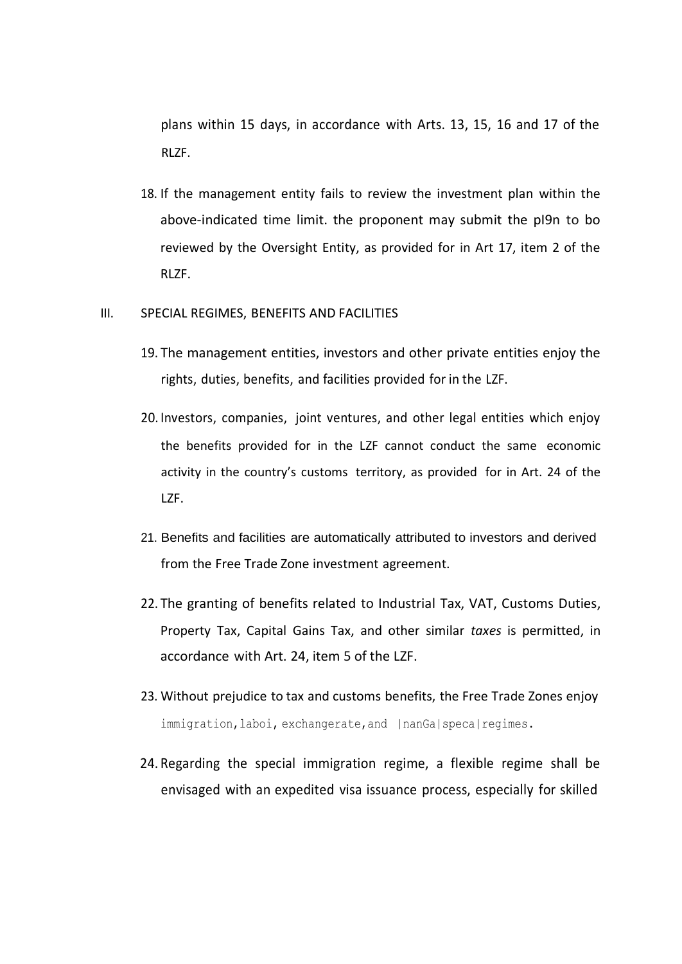plans within 15 days, in accordance with Arts. 13, 15, 16 and 17 of the RLZF.

18. If the management entity fails to review the investment plan within the above-indicated time limit. the proponent may submit the pI9n to bo reviewed by the Oversight Entity, as provided for in Art 17, item 2 of the RLZF.

#### III. SPECIAL REGIMES, BENEFITS AND FACILITIES

- 19. The management entities, investors and other private entities enjoy the rights, duties, benefits, and facilities provided for in the LZF.
- 20. Investors, companies, joint ventures, and other legal entities which enjoy the benefits provided for in the LZF cannot conduct the same economic activity in the country's customs territory, as provided for in Art. 24 of the LZF.
- 21. Benefits and facilities are automatically attributed to investors and derived from the Free Trade Zone investment agreement.
- 22. The granting of benefits related to Industrial Tax, VAT, Customs Duties, Property Tax, Capital Gains Tax, and other similar *taxes* is permitted, in accordance with Art. 24, item 5 of the LZF.
- 23. Without prejudice to tax and customs benefits, the Free Trade Zones enjoy immigration, laboi, exchangerate, and |nanGa|speca|regimes.
- 24. Regarding the special immigration regime, a flexible regime shall be envisaged with an expedited visa issuance process, especially for skilled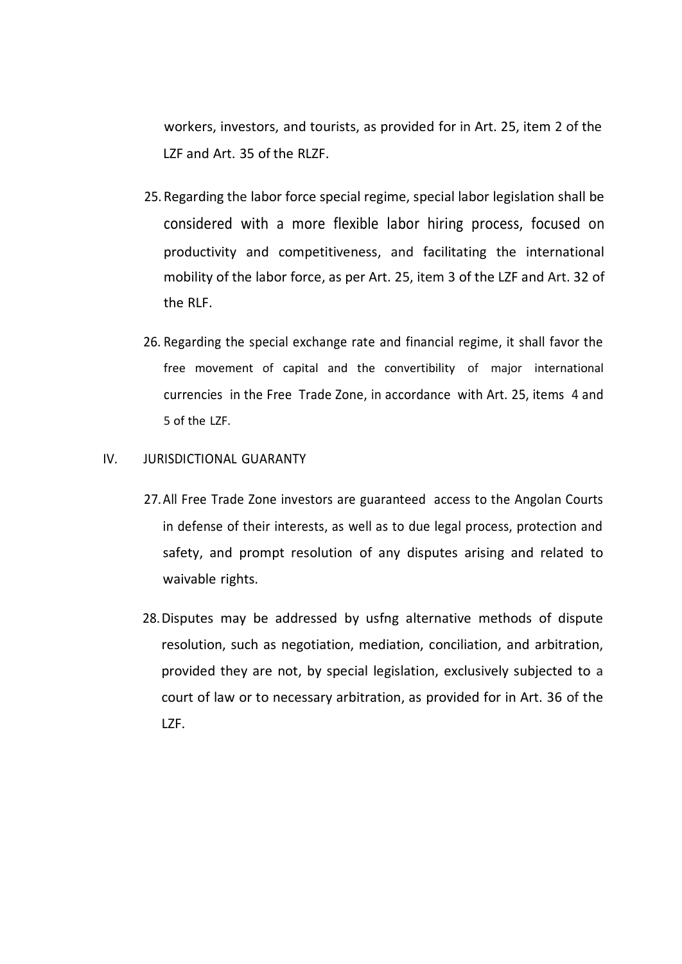workers, investors, and tourists, as provided for in Art. 25, item 2 of the LZF and Art. 35 of the RLZF.

- 25. Regarding the labor force special regime, special labor legislation shall be considered with a more flexible labor hiring process, focused on productivity and competitiveness, and facilitating the international mobility of the labor force, as per Art. 25, item 3 of the LZF and Art. 32 of the RLF.
- 26. Regarding the special exchange rate and financial regime, it shall favor the free movement of capital and the convertibility of major international currencies in the Free Trade Zone, in accordance with Art. 25, items 4 and 5 of the LZF.

## IV. JURISDICTIONAL GUARANTY

- 27.All Free Trade Zone investors are guaranteed access to the Angolan Courts in defense of their interests, as well as to due legal process, protection and safety, and prompt resolution of any disputes arising and related to waivable rights.
- 28.Disputes may be addressed by usfng alternative methods of dispute resolution, such as negotiation, mediation, conciliation, and arbitration, provided they are not, by special legislation, exclusively subjected to a court of law or to necessary arbitration, as provided for in Art. 36 of the LZF.